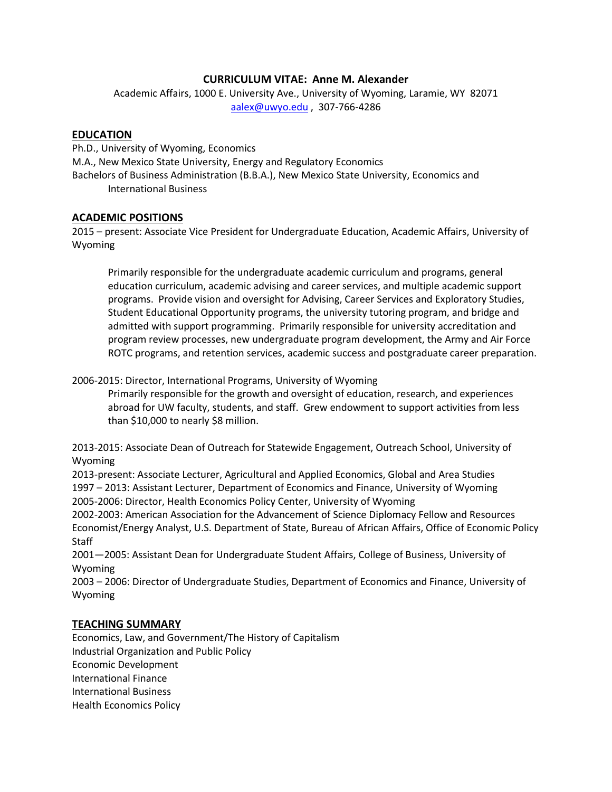#### **CURRICULUM VITAE: Anne M. Alexander**

Academic Affairs, 1000 E. University Ave., University of Wyoming, Laramie, WY 82071 [aalex@uwyo.edu](mailto:aalex@uwyo.edu) , 307-766-4286

#### **EDUCATION**

Ph.D., University of Wyoming, Economics M.A., New Mexico State University, Energy and Regulatory Economics Bachelors of Business Administration (B.B.A.), New Mexico State University, Economics and International Business

#### **ACADEMIC POSITIONS**

2015 – present: Associate Vice President for Undergraduate Education, Academic Affairs, University of Wyoming

Primarily responsible for the undergraduate academic curriculum and programs, general education curriculum, academic advising and career services, and multiple academic support programs. Provide vision and oversight for Advising, Career Services and Exploratory Studies, Student Educational Opportunity programs, the university tutoring program, and bridge and admitted with support programming. Primarily responsible for university accreditation and program review processes, new undergraduate program development, the Army and Air Force ROTC programs, and retention services, academic success and postgraduate career preparation.

2006-2015: Director, International Programs, University of Wyoming

Primarily responsible for the growth and oversight of education, research, and experiences abroad for UW faculty, students, and staff. Grew endowment to support activities from less than \$10,000 to nearly \$8 million.

2013-2015: Associate Dean of Outreach for Statewide Engagement, Outreach School, University of Wyoming

2013-present: Associate Lecturer, Agricultural and Applied Economics, Global and Area Studies 1997 – 2013: Assistant Lecturer, Department of Economics and Finance, University of Wyoming 2005-2006: Director, Health Economics Policy Center, University of Wyoming

2002-2003: American Association for the Advancement of Science Diplomacy Fellow and Resources Economist/Energy Analyst, U.S. Department of State, Bureau of African Affairs, Office of Economic Policy **Staff** 

2001—2005: Assistant Dean for Undergraduate Student Affairs, College of Business, University of Wyoming

2003 – 2006: Director of Undergraduate Studies, Department of Economics and Finance, University of Wyoming

#### **TEACHING SUMMARY**

Economics, Law, and Government/The History of Capitalism Industrial Organization and Public Policy Economic Development International Finance International Business Health Economics Policy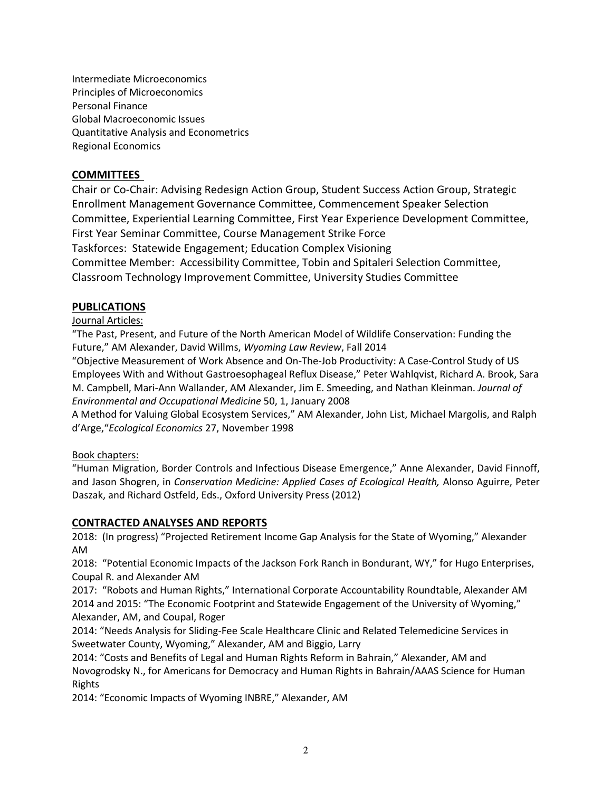Intermediate Microeconomics Principles of Microeconomics Personal Finance Global Macroeconomic Issues Quantitative Analysis and Econometrics Regional Economics

## **COMMITTEES**

Chair or Co-Chair: Advising Redesign Action Group, Student Success Action Group, Strategic Enrollment Management Governance Committee, Commencement Speaker Selection Committee, Experiential Learning Committee, First Year Experience Development Committee, First Year Seminar Committee, Course Management Strike Force Taskforces: Statewide Engagement; Education Complex Visioning Committee Member: Accessibility Committee, Tobin and Spitaleri Selection Committee, Classroom Technology Improvement Committee, University Studies Committee

### **PUBLICATIONS**

### Journal Articles:

"The Past, Present, and Future of the North American Model of Wildlife Conservation: Funding the Future," AM Alexander, David Willms, *Wyoming Law Review*, Fall 2014

"Objective Measurement of Work Absence and On-The-Job Productivity: A Case-Control Study of US Employees With and Without Gastroesophageal Reflux Disease," Peter Wahlqvist, Richard A. Brook, Sara M. Campbell, Mari-Ann Wallander, AM Alexander, Jim E. Smeeding, and Nathan Kleinman. *Journal of Environmental and Occupational Medicine* 50, 1, January 2008

A Method for Valuing Global Ecosystem Services," AM Alexander, John List, Michael Margolis, and Ralph d'Arge,"*Ecological Economics* 27, November 1998

### Book chapters:

"Human Migration, Border Controls and Infectious Disease Emergence," Anne Alexander, David Finnoff, and Jason Shogren, in *Conservation Medicine: Applied Cases of Ecological Health,* Alonso Aguirre, Peter Daszak, and Richard Ostfeld, Eds., Oxford University Press (2012)

### **CONTRACTED ANALYSES AND REPORTS**

2018: (In progress) "Projected Retirement Income Gap Analysis for the State of Wyoming," Alexander AM

2018: "Potential Economic Impacts of the Jackson Fork Ranch in Bondurant, WY," for Hugo Enterprises, Coupal R. and Alexander AM

2017: "Robots and Human Rights," International Corporate Accountability Roundtable, Alexander AM 2014 and 2015: "The Economic Footprint and Statewide Engagement of the University of Wyoming," Alexander, AM, and Coupal, Roger

2014: "Needs Analysis for Sliding-Fee Scale Healthcare Clinic and Related Telemedicine Services in Sweetwater County, Wyoming," Alexander, AM and Biggio, Larry

2014: "Costs and Benefits of Legal and Human Rights Reform in Bahrain," Alexander, AM and Novogrodsky N., for Americans for Democracy and Human Rights in Bahrain/AAAS Science for Human Rights

2014: "Economic Impacts of Wyoming INBRE," Alexander, AM